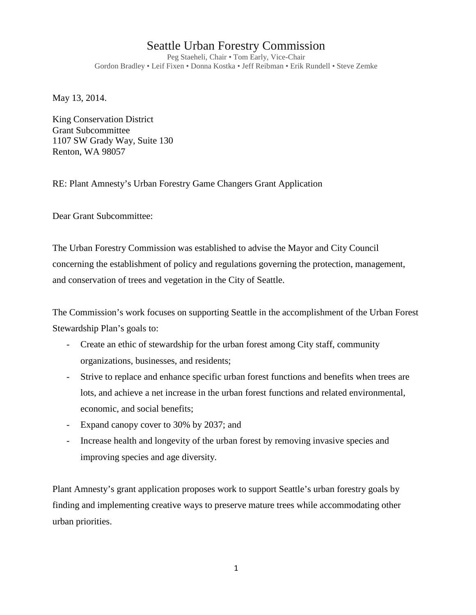## Seattle Urban Forestry Commission

Peg Staeheli, Chair • Tom Early, Vice-Chair Gordon Bradley • Leif Fixen • Donna Kostka • Jeff Reibman • Erik Rundell • Steve Zemke

May 13, 2014.

King Conservation District Grant Subcommittee 1107 SW Grady Way, Suite 130 Renton, WA 98057

RE: Plant Amnesty's Urban Forestry Game Changers Grant Application

Dear Grant Subcommittee:

The Urban Forestry Commission was established to advise the Mayor and City Council concerning the establishment of policy and regulations governing the protection, management, and conservation of trees and vegetation in the City of Seattle.

The Commission's work focuses on supporting Seattle in the accomplishment of the Urban Forest Stewardship Plan's goals to:

- Create an ethic of stewardship for the urban forest among City staff, community organizations, businesses, and residents;
- Strive to replace and enhance specific urban forest functions and benefits when trees are lots, and achieve a net increase in the urban forest functions and related environmental, economic, and social benefits;
- Expand canopy cover to 30% by 2037; and
- Increase health and longevity of the urban forest by removing invasive species and improving species and age diversity.

Plant Amnesty's grant application proposes work to support Seattle's urban forestry goals by finding and implementing creative ways to preserve mature trees while accommodating other urban priorities.